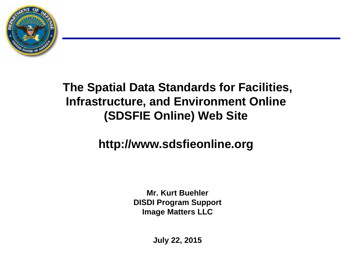

#### **The Spatial Data Standards for Facilities, Infrastructure, and Environment Online (SDSFIE Online) Web Site**

#### **http://www.sdsfieonline.org**

**Mr. Kurt Buehler DISDI Program Support Image Matters LLC**

**July 22, 2015**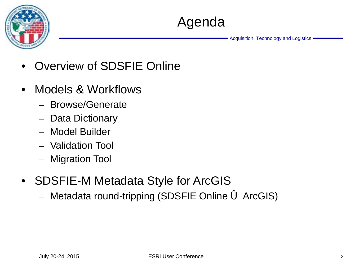

- Overview of SDSFIE Online
- Models & Workflows
	- Browse/Generate
	- Data Dictionary
	- Model Builder
	- Validation Tool
	- Migration Tool
- SDSFIE-M Metadata Style for ArcGIS
	- Metadata round-tripping (SDSFIE Online 6 ArcGIS)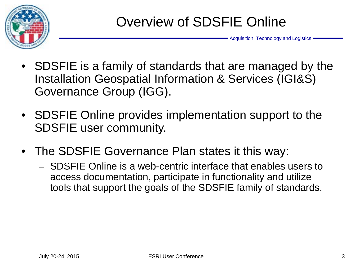

- SDSFIE is a family of standards that are managed by the Installation Geospatial Information & Services (IGI&S) Governance Group (IGG).
- SDSFIE Online provides implementation support to the SDSFIE user community.
- The SDSFIE Governance Plan states it this way:
	- SDSFIE Online is a web-centric interface that enables users to access documentation, participate in functionality and utilize tools that support the goals of the SDSFIE family of standards.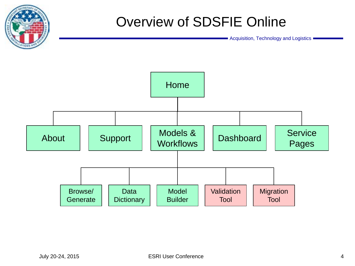

# Overview of SDSFIE Online

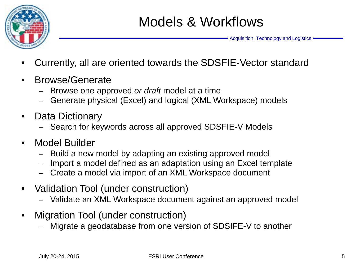

- Currently, all are oriented towards the SDSFIE-Vector standard
- Browse/Generate
	- Browse one approved *or draft* model at a time
	- Generate physical (Excel) and logical (XML Workspace) models
- Data Dictionary
	- Search for keywords across all approved SDSFIE-V Models
- Model Builder
	- Build a new model by adapting an existing approved model
	- Import a model defined as an adaptation using an Excel template
	- Create a model via import of an XML Workspace document
- Validation Tool (under construction)
	- Validate an XML Workspace document against an approved model
- Migration Tool (under construction)
	- Migrate a geodatabase from one version of SDSIFE-V to another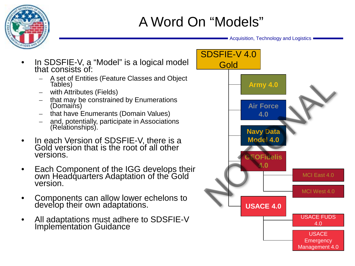

# A Word On "Models"

- In SDSFIE-V, a "Model" is a logical model that consists of
	- A set of Entities (Feature Classes and Object Tables)
	- with Attributes (Fields)
	- that may be constrained by Enumerations (Domains)
	- that have Enumerants (Domain Values)
	- and, potentially, participate in Associations (Relationships).
- In each Version of SDSFIE-V, there is a Gold version that is the root of all other versions.
- Each Component of the IGG develops their own Headquarters Adaptation of the Gold version.
- Components can allow lower echelons to develop their own adaptations.
- All adaptations must adhere to SDSFIE-V Implementation Guidance

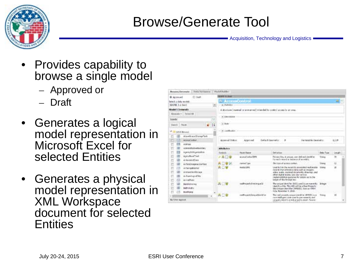

## Browse/Generate Tool

- Provides capability to browse a single model
	- Approved or
	- Draft
- Generates a logical model representation in Microsoft Excel for selected Entities
- Generates a physical model representation in XML Workspace document for selected **Entities**

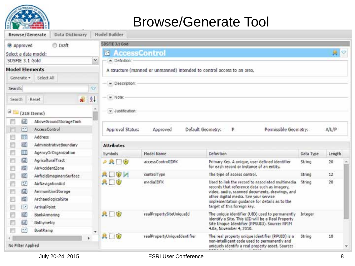

#### Browse/Generate Tool

|                                                              | Browse/Generate<br>Data Dictionary |              | Model Builder          |                                                                         |                                                                                                      |           |                           |
|--------------------------------------------------------------|------------------------------------|--------------|------------------------|-------------------------------------------------------------------------|------------------------------------------------------------------------------------------------------|-----------|---------------------------|
| @ Approved                                                   | <b>Draft</b>                       |              | SDSFIE 3.1 Gold        |                                                                         |                                                                                                      |           |                           |
|                                                              | Select a data model:               |              | ø                      | <b>AccessControl</b>                                                    |                                                                                                      |           | $\mathbb{R}^{\mathbb{C}}$ |
| SDSFIE 3.1 Gold                                              |                                    | $\checkmark$ | - Definition:          |                                                                         |                                                                                                      |           |                           |
| <b>Model Elements</b>                                        |                                    |              |                        | A structure (manned or unmanned) intended to control access to an area. |                                                                                                      |           |                           |
| Generate -                                                   | Select All                         |              |                        |                                                                         |                                                                                                      |           |                           |
| Search:                                                      |                                    | O            | - Description:         |                                                                         |                                                                                                      |           |                           |
|                                                              |                                    |              |                        |                                                                         |                                                                                                      |           |                           |
| <b>Search</b>                                                | Æ<br>Reset                         | $2 +$        | - Note:                |                                                                         |                                                                                                      |           |                           |
|                                                              | $\exists$ [218 Items]              |              | $\star$ Justification: |                                                                         |                                                                                                      |           |                           |
| 岡                                                            | AboveGroundStorageTank             |              |                        |                                                                         |                                                                                                      |           |                           |
| $\left[ \begin{array}{c} 2 & 1 \\ 1 & 1 \end{array} \right]$ | AccessControl                      |              | Approval Status:       | Approved                                                                | Default Geometry:<br>Permissible Geometry:<br>P.                                                     |           | <b>A/L/P</b>              |
| 圖                                                            | Address                            |              |                        |                                                                         |                                                                                                      |           |                           |
| 圖<br>Ë                                                       | AdministrativeBoundary             |              | <b>Attributes</b>      |                                                                         |                                                                                                      |           |                           |
| EU)                                                          | AgencyOrOrganization               |              | Symbols                | Model Name                                                              | <b>Definition</b>                                                                                    | Data Type | Length                    |
| 國                                                            | AgriculturalTract                  |              | $P$ R $\Box$           | accessControlIDPK                                                       | Primary Key. A unique, user defined identifier                                                       | String    | 20                        |
| 圖                                                            | AirAccidentZone                    |              |                        |                                                                         | for each record or instance of an entity.                                                            |           |                           |
| B)                                                           | AirfieldImaginarySurface           |              | <b>ADOM</b>            | controlType                                                             | The type of access control.                                                                          | String    | 12                        |
| $\overline{\mathcal{L}}$                                     | AirNavigationAid                   |              | <b>ADO</b>             | mediaIDFK                                                               | Used to link the record to associated multimedia<br>records that reference data such as imagery,     | String    | 20                        |
| 圓<br>뻰                                                       | AmmunitionStorage                  |              |                        |                                                                         | video, audio, scanned documents, drawings, and                                                       |           |                           |
| 面<br>附                                                       | ArchaeologicalSite                 |              |                        |                                                                         | other digital media. See your service<br>implementation guidance for details as to the               |           |                           |
| $\left[\cdot,\cdot\right]$<br>門                              | <b>ArrivalPoint</b>                |              |                        |                                                                         | target of this foreign key.                                                                          |           |                           |
| (5)                                                          | BankArmoring                       |              | $A \Box \Psi$          | realPropertySiteUniqueId                                                | The unique identifier (UID) used to permanently<br>identify a Site. This UID will be a Real Property | Integer   |                           |
| 圓                                                            | Bathymetry                         |              |                        |                                                                         | Site Unique Identifier (RPSUID). Source: RPIM                                                        |           |                           |
| $\overline{\mathbb{C}^2}$<br>m                               | BoatRamp                           |              |                        |                                                                         | 4.0a, November 4, 2010.                                                                              |           |                           |
|                                                              |                                    |              | <b>A</b> <sub>U</sub>  | realPropertyUniqueIdentifier                                            | The real property unique identifier (RPUID) is a<br>non-intelligent code used to permanently and     | String    | 18                        |
| No Filter Applied                                            |                                    |              |                        |                                                                         | uniquely identify a real property asset. Source:                                                     |           | ٠                         |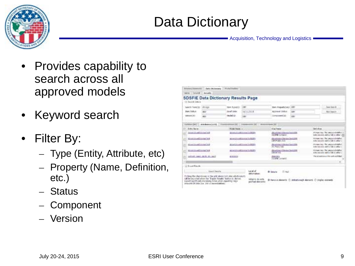

# Data Dictionary

- Provides capability to search across all approved models
- Keyword search
- Filter By:
	- Type (Entity, Attribute, etc)
	- Property (Name, Definition, etc.)
	- Status
	- Component
	- Version

| Tel: Seatch Schola                                |                                   |                       |                                         |                                                 |             |           |                                                                    |
|---------------------------------------------------|-----------------------------------|-----------------------|-----------------------------------------|-------------------------------------------------|-------------|-----------|--------------------------------------------------------------------|
| Gents Feintill                                    | distant                           | <b>Hert Fybridit</b>  | 3.991                                   | <b>Barn PropertyCatcle (ARF)</b>                |             |           | <b>Saw Secrit:</b>                                                 |
| <b>Bain Tildford</b>                              | WN                                | <b>Zivial Colta:</b>  | HATLESTER                               | Aistream 30Ave                                  | <b>John</b> |           | fill Seath                                                         |
| Version/Afr                                       | A&N:                              | Hodel/str.            | AM1                                     | Elimpiogent's to                                | 3881        |           |                                                                    |
|                                                   |                                   |                       |                                         | 100613-002                                      |             |           | light recent and to but to other of                                |
| Edito Novel<br><b>Short Street Street Section</b> |                                   | <b>Hudel Reese in</b> | grow.prostitutes.to-BDF                 | <b>Slige News</b><br>PERMITTENSION              |             | Defunkse: | Philippy Lev. This section standard in                             |
| \$3.000 COLLARS TO FRAN TANK                      |                                   |                       | prompt continued field EPs              | Montano/Americanists                            |             |           | money too. The appliest christian                                  |
|                                                   |                                   |                       |                                         | GETA LAWS S.O.                                  |             |           | distance and in intimation                                         |
| <b>Birms Climate The mar 160</b>                  |                                   |                       | <b>EDATURISMETHING THREES</b>           | Notton's Deal (20)<br>No Ross 5.80              |             |           | move to: the autoralmeter<br>duty second and in the trialler of    |
| Shine could himself test                          |                                   |                       | planet if is staff for each facility of | <b>BourreachTernetTendity</b><br>10/10/10 11:55 |             |           | minury tax. The unsur-christian<br>distances and in int to affect. |
|                                                   | Engine of the time trace thereing | <b>MENVANIE</b>       |                                         | <b>CODE SOLU</b><br><b>NOWWILANAST</b>          |             |           | The players in principal until Mar-                                |
|                                                   |                                   |                       |                                         |                                                 |             |           | ü.                                                                 |
|                                                   |                                   |                       |                                         |                                                 |             |           |                                                                    |
| of Dread Roycle                                   |                                   |                       |                                         |                                                 |             |           |                                                                    |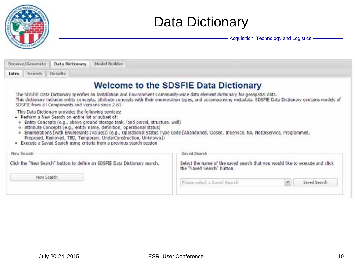

## Data Dictionary

| Model Builder<br>Browse/Generate<br><b>Data Dictionary</b>                                                                                                                                                                                                                                                                                                                                                                                                                                                                                                                   |                                                                                                                                                                 |
|------------------------------------------------------------------------------------------------------------------------------------------------------------------------------------------------------------------------------------------------------------------------------------------------------------------------------------------------------------------------------------------------------------------------------------------------------------------------------------------------------------------------------------------------------------------------------|-----------------------------------------------------------------------------------------------------------------------------------------------------------------|
| Search<br>Results<br>Intro                                                                                                                                                                                                                                                                                                                                                                                                                                                                                                                                                   |                                                                                                                                                                 |
|                                                                                                                                                                                                                                                                                                                                                                                                                                                                                                                                                                              | <b>Welcome to the SDSFIE Data Dictionary</b>                                                                                                                    |
| The SDSFIE Data Dictionary specifies an Installation and Environment Community-wide data element dictionary for geospatial data.<br>SDSFIE from all Components and versions since 2.61.                                                                                                                                                                                                                                                                                                                                                                                      | This dictionary includes entity concepts, attribute concepts with their enumeration types, and accompanying metadata. SDSFIE Data Dictionary contains models of |
| This Data Dictionary provides the following services:<br>Perform a New Search on entire list or subset of:<br>Entity Concepts (e.g., above ground storage tank, land parcel, structure, well)<br>÷<br>o Attribute Concepts (e.g., entity name, definition, operational status)<br>Enumerations [with Enumerants (Values)] (e.g., Operational Status Type Code [Abandoned, Closed, InService, NA, NotInService, Programmed,<br>۰<br>Proposed, Removed, TBD, Temporary, UnderConstruction, Unknown])<br>· Execute a Saved Search using criteria from a previous search session |                                                                                                                                                                 |
| New Search                                                                                                                                                                                                                                                                                                                                                                                                                                                                                                                                                                   | Saved Search                                                                                                                                                    |
| Click the "New Search" button to define an SDSFIE Data Dictionary search.<br>New Search                                                                                                                                                                                                                                                                                                                                                                                                                                                                                      | Select the name of the saved search that you would like to execute and click<br>the "Saved Search" button.<br>Please select a Saved Search                      |
|                                                                                                                                                                                                                                                                                                                                                                                                                                                                                                                                                                              | Saved Search                                                                                                                                                    |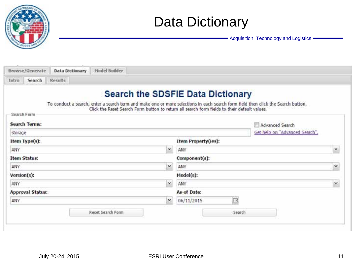

### Data Dictionary

| Browse/Generate      | <b>Data Dictionary</b> | Model Builder     |              |                                                                                              |        |                                                                                                                                  |   |
|----------------------|------------------------|-------------------|--------------|----------------------------------------------------------------------------------------------|--------|----------------------------------------------------------------------------------------------------------------------------------|---|
| Search<br>Intro      | Results                |                   |              |                                                                                              |        |                                                                                                                                  |   |
|                      |                        |                   |              | <b>Search the SDSFIE Data Dictionary</b>                                                     |        |                                                                                                                                  |   |
|                      |                        |                   |              | Click the Reset Search Form button to return all search form fields to their default values. |        | To conduct a search, enter a search term and make one or more selections in each search form field then click the Search button. |   |
| Search Form          |                        |                   |              |                                                                                              |        |                                                                                                                                  |   |
| <b>Search Terms:</b> |                        |                   |              |                                                                                              |        | Advanced Search                                                                                                                  |   |
| storage              |                        |                   |              |                                                                                              |        | Get help on "Advanced Search".                                                                                                   |   |
| Item Type(s):        |                        |                   |              | <b>Item Property(ies):</b>                                                                   |        |                                                                                                                                  |   |
| ANY.                 |                        |                   | ×            | ANY                                                                                          |        |                                                                                                                                  | × |
| <b>Item Status:</b>  |                        |                   |              | Component(s):                                                                                |        |                                                                                                                                  |   |
| ANY                  |                        |                   | v            | ANY                                                                                          |        |                                                                                                                                  | ¥ |
| Version(s):          |                        |                   |              | Model(s):                                                                                    |        |                                                                                                                                  |   |
| ANY                  |                        |                   | $\checkmark$ | ANY                                                                                          |        |                                                                                                                                  | × |
| Approval Status:     |                        |                   |              | As-of Date:                                                                                  |        |                                                                                                                                  |   |
| ANY                  |                        |                   | ۷            | 06/11/2015                                                                                   | B      |                                                                                                                                  |   |
|                      |                        | Reset Search Form |              |                                                                                              | Search |                                                                                                                                  |   |
|                      |                        |                   |              |                                                                                              |        |                                                                                                                                  |   |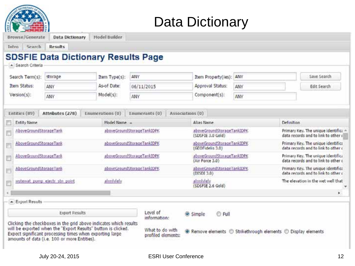|  | <b>Data Dictionary</b> |
|--|------------------------|
|--|------------------------|

| - Search Criteria      |                               | <b>SDSFIE Data Dictionary Results Page</b>                                                                                                                                                     |                                       |                                                             |     |            |                                                                            |
|------------------------|-------------------------------|------------------------------------------------------------------------------------------------------------------------------------------------------------------------------------------------|---------------------------------------|-------------------------------------------------------------|-----|------------|----------------------------------------------------------------------------|
| Search Term(s):        | storage                       | Item Type(s):                                                                                                                                                                                  | ANY                                   | Item Property(ies):                                         | ANY |            | Save Search                                                                |
| Item Status:           | ANY                           | As-of Date:                                                                                                                                                                                    | 06/11/2015                            | Approval Status:                                            | ANY |            | Edit Search                                                                |
| Version(s):            | ANY                           | Model(s):                                                                                                                                                                                      | ANY                                   | Component(s):                                               | ANY |            |                                                                            |
| Entities (89)          | Attributes (278)              | Enumerations (0)                                                                                                                                                                               | Enumerants (0)                        | Associations (0)                                            |     |            |                                                                            |
| Entity Name            |                               | Model Name                                                                                                                                                                                     |                                       | Alias Name                                                  |     | Definition |                                                                            |
| AboveGroundStorageTank |                               |                                                                                                                                                                                                | aboveGroundStorageTankIDPK            | aboveGroundStorageTankIDPK<br>(SDSFIE 3.0 Gold)             |     |            | Primary Key, The unique identifica<br>data records and to link to other a  |
| AboveGroundStorageTank |                               |                                                                                                                                                                                                | aboveGroundStorageTankIDPK            | aboveGroundStorageTankIDPK<br>(GEOFidelis 3.0)              |     |            | Primary Key, The unique identifical<br>data records and to link to other c |
| AboveGroundStorageTank |                               |                                                                                                                                                                                                | aboveGroundStorageTankIDPK            | aboveGroundStorageTankIDPK<br>(Air Force 3.0)               |     |            | Primary Key. The unique identifical<br>data records and to link to other c |
| AboveGroundStorageTank |                               |                                                                                                                                                                                                | aboveGroundStorageTankIDPK            | aboveGroundStorageTankIDPK<br>(DISDI 3.0)                   |     |            | Primary Key. The unique identifica<br>data records and to link to other c  |
|                        | wstewat pump ejectr stn point | alimfulely                                                                                                                                                                                     |                                       | alimblely<br>(SDSFIE 2.6 Gold)                              |     |            | The elevation in the wet well that                                         |
|                        |                               |                                                                                                                                                                                                |                                       |                                                             |     |            |                                                                            |
| - Export Results       |                               |                                                                                                                                                                                                |                                       |                                                             |     |            |                                                                            |
|                        | <b>Export Results</b>         |                                                                                                                                                                                                | Level of<br>information:              | C Full<br>Simple                                            |     |            |                                                                            |
|                        |                               | Clicking the checkboxes in the grid above indicates which results<br>will be exported when the "Export Results" button is clicked.<br>Expect significant processing times when exporting large | What to do with<br>profiled elements: | Remove elements C Strikethrough elements C Display elements |     |            |                                                                            |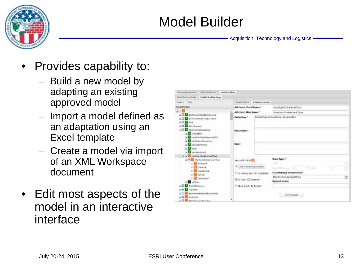

# Model Builder

- Provides capability to:
	- Build a new model by adapting an existing approved model
	- Import a model defined as an adaptation using an Excel template
	- Create a model via import of an XML Workspace document
- Edit most aspects of the model in an interactive interface

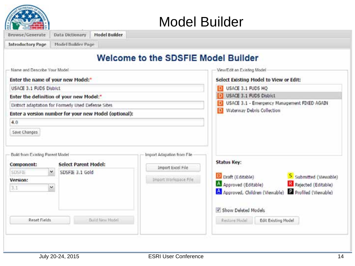

#### Model Builder

| <b>Introductory Page</b>                                                 | Model Builder Page                                    |                                            |                                                             |  |  |
|--------------------------------------------------------------------------|-------------------------------------------------------|--------------------------------------------|-------------------------------------------------------------|--|--|
|                                                                          |                                                       | <b>Welcome to the SDSFIE Model Builder</b> |                                                             |  |  |
| Name and Describe Your Model                                             |                                                       |                                            | View/Edit an Existing Model                                 |  |  |
|                                                                          | Enter the name of your new Model:*                    |                                            | Select Existing Model to View or Edit:                      |  |  |
| <b>USACE 3.1 FUDS District</b>                                           |                                                       |                                            | USACE 3.1 FUDS HQ<br>D.                                     |  |  |
|                                                                          | Enter the definition of your new Model:"              |                                            | <b>USACE 3.1 FUDS District</b>                              |  |  |
|                                                                          | District adaptation for Formerly Used Defense Sites.  |                                            | USACE 3.1 - Emergency Management FIXED AGAIN                |  |  |
|                                                                          | Enter a version number for your new Model (optional): |                                            | Waterway Debris Collection                                  |  |  |
|                                                                          |                                                       |                                            |                                                             |  |  |
|                                                                          |                                                       |                                            |                                                             |  |  |
| Save Changes                                                             |                                                       |                                            |                                                             |  |  |
|                                                                          |                                                       |                                            |                                                             |  |  |
|                                                                          |                                                       | Import Adapation from File                 |                                                             |  |  |
|                                                                          | <b>Select Parent Model:</b>                           |                                            | <b>Status Key:</b>                                          |  |  |
|                                                                          | v<br>SDSFIE 3.1 Gold                                  | Import Excel File                          |                                                             |  |  |
|                                                                          |                                                       | Import Workspace File                      | D Draft (Editable)<br>S Submitted (Viewable)                |  |  |
| <b>SDSFIE</b>                                                            | ×                                                     |                                            | A Approved (Editable)<br>Rejected (Editable)                |  |  |
|                                                                          |                                                       |                                            | A Approved, Children (Viewable) Profiled (Viewable)         |  |  |
| 4.0<br>Build from Existing Parent Model<br>Component:<br>Version:<br>3.1 |                                                       |                                            |                                                             |  |  |
| Reset Fields                                                             | Build New Model                                       |                                            | Show Deleted Models<br>Restore Model<br>Edit Existing Model |  |  |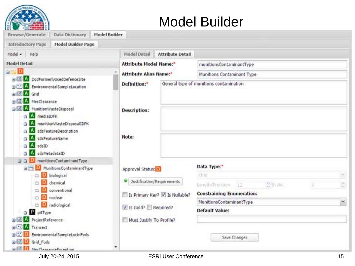

#### Model Builder

| <b>Browse/Generate</b><br>Data Dictionary<br>Model Builder                                                                                                         |                                         |                                                |               |
|--------------------------------------------------------------------------------------------------------------------------------------------------------------------|-----------------------------------------|------------------------------------------------|---------------|
| <b>Model Builder Page</b><br>Introductory Page                                                                                                                     |                                         |                                                |               |
| Model - Help                                                                                                                                                       | Model Detail<br><b>Attribute Detail</b> |                                                |               |
| <b>Model Detail</b>                                                                                                                                                | <b>Attribute Model Name:</b> *          | munitionsContaminantType                       |               |
| D<br>a Ca                                                                                                                                                          | <b>Attribute Alias Name:</b> *          | Munitions Contaminant Type                     |               |
| <b>BIBI</b> A DodFormerlyUsedDefenseSite<br><b>A</b> Environmental Sample Location<br>由图 A Grid<br><b>A</b> MecClearance                                           | Definition:*                            | General type of munitions contamination        |               |
| Gill A MunitionWasteDisposal<br><b>A</b> mediaIDFK<br>a<br>A munitionWasteDisposalIDPK<br>A<br>sdsFeatureDescription<br>a                                          | <b>Description:</b>                     |                                                |               |
| <b>A</b><br>sdsFeatureName<br>$G$ A<br>sdsID<br>IA.<br>sdsMetadataID<br>a<br>munitionsContaminantType<br>D<br>$\Box$                                               | Note:                                   |                                                |               |
| <b>B</b> MunitionsContaminantType                                                                                                                                  | Approval Status: D                      | Data Type:"                                    |               |
| D biological                                                                                                                                                       |                                         | Char                                           | $\mathcal{M}$ |
| <b>D</b> chemical                                                                                                                                                  | Justification/Requirements              | <b>C-Scale:</b><br>Length/Precision: 122<br>ΙO | ¢             |
| conventional<br>D nuclear                                                                                                                                          | Is Primary Key? V Is Nullable?          | <b>Constraining Enumeration:</b>               |               |
| D radiological                                                                                                                                                     |                                         | MunitionsContaminantType                       | $\checkmark$  |
| <b>Q</b> <i>pitType</i>                                                                                                                                            | 1s Gold? Required?                      | <b>Default Value:</b>                          |               |
| <b>BIB A ProjectReference</b><br><b>BIG A</b> Transect<br><b>B</b> Environmental SampleLoctnFuds<br>Bill D Grid_Fuds<br>٠<br>a <b>ISI D.</b> MerClearanceFscention | Must Justify To Profile?                | Save Changes                                   |               |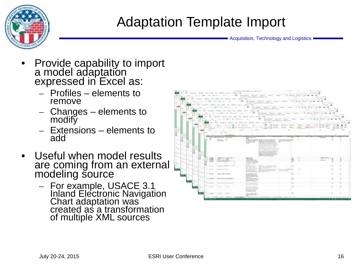

## Adaptation Template Import

- Provide capability to import a model adap<u>t</u>ation expressed in Excel as:
	- Profiles elements to remove
	- Changes elements to modify
	- Extensions elements to add
- Useful when model results are coming from an external modeling source
	- For example, USACE 3.1 Inland Electronic Navigation Chart adaptation was created as a transformation of multiple XML sources

| as an experience as an except with with the company of the company of the company of the company of the company of the company of the company of the company of the company of the company of the company of the company of th<br>THE R. P. LEWIS CO., LANSING, MICH. 49-14039-1-120-2<br>THE R. P. LEWIS CO., LANSING MICH.<br>on the local man as we are not set that the contract of the contract of the contract of<br>Service Call<br>The factor from the attention<br>THE ARE REAL PROPERTY AND INTERNATIONAL<br>and additional components of the state.<br>THE R. P. LEWIS CO., LANSING MICH.<br>as an excellent way on the collect and one have been contributed that the collection<br>Service Call<br>The Solar Processing the County<br>and address to the former company of the state of<br>THE REPORT OF REAL PROPERTY AND RELEASED FOR THE REAL PROPERTY AND RELEASED FOR THE REAL PROPERTY AND RELEASED<br>THE R. P. LEWIS CO., LANSING MICH.<br>as an excellent way on the countries are now be a present that the country of<br>Service Call<br>To Salary, Statement San Allen and<br>and address to the former control of the track<br>A REAR REPORT OF A CHARGE THE<br>一下するの事実<br>as an excess was as see as well are now in the company of the contract and the<br><b>SURFACE</b><br>To the Lat Theme the Atlanta of<br>and address to the company of the con-<br>医制备器的 化电导公司 经利润 人名英格兰人姓氏沃尔<br>n en |            |
|--------------------------------------------------------------------------------------------------------------------------------------------------------------------------------------------------------------------------------------------------------------------------------------------------------------------------------------------------------------------------------------------------------------------------------------------------------------------------------------------------------------------------------------------------------------------------------------------------------------------------------------------------------------------------------------------------------------------------------------------------------------------------------------------------------------------------------------------------------------------------------------------------------------------------------------------------------------------------------------------------------------------------------------------------------------------------------------------------------------------------------------------------------------------------------------------------------------------------------------------------------------------------------------------------------------------------------------------------------------------------------------------------------------------------|------------|
|                                                                                                                                                                                                                                                                                                                                                                                                                                                                                                                                                                                                                                                                                                                                                                                                                                                                                                                                                                                                                                                                                                                                                                                                                                                                                                                                                                                                                          | to the car |
|                                                                                                                                                                                                                                                                                                                                                                                                                                                                                                                                                                                                                                                                                                                                                                                                                                                                                                                                                                                                                                                                                                                                                                                                                                                                                                                                                                                                                          |            |
|                                                                                                                                                                                                                                                                                                                                                                                                                                                                                                                                                                                                                                                                                                                                                                                                                                                                                                                                                                                                                                                                                                                                                                                                                                                                                                                                                                                                                          |            |
|                                                                                                                                                                                                                                                                                                                                                                                                                                                                                                                                                                                                                                                                                                                                                                                                                                                                                                                                                                                                                                                                                                                                                                                                                                                                                                                                                                                                                          |            |
|                                                                                                                                                                                                                                                                                                                                                                                                                                                                                                                                                                                                                                                                                                                                                                                                                                                                                                                                                                                                                                                                                                                                                                                                                                                                                                                                                                                                                          |            |
| March 21, 1983<br><b>Brown --</b>                                                                                                                                                                                                                                                                                                                                                                                                                                                                                                                                                                                                                                                                                                                                                                                                                                                                                                                                                                                                                                                                                                                                                                                                                                                                                                                                                                                        |            |
| <u> Listongo i juž</u> e v parant<br><b>PET SERVICE</b><br>dent.<br>the Robert Clean raced<br><b>State</b><br>THE GLOST<br><b>CONTRACTOR</b><br>The Contract of the                                                                                                                                                                                                                                                                                                                                                                                                                                                                                                                                                                                                                                                                                                                                                                                                                                                                                                                                                                                                                                                                                                                                                                                                                                                      |            |
| Video mar<br>and the company's                                                                                                                                                                                                                                                                                                                                                                                                                                                                                                                                                                                                                                                                                                                                                                                                                                                                                                                                                                                                                                                                                                                                                                                                                                                                                                                                                                                           |            |
| the structure and<br>The Second Control of the<br><b>METAL ARE</b><br><b>Window</b><br><b>CONTRACTOR</b><br>HANNINGS WWW.SCRAWN - MAAR-RIN NL<br>the time.<br>the above and the property of the<br>and in the control.<br>dealership and the control of the con-<br><b>Section</b><br>and the state countries.<br>. .                                                                                                                                                                                                                                                                                                                                                                                                                                                                                                                                                                                                                                                                                                                                                                                                                                                                                                                                                                                                                                                                                                    |            |
| the company of the company of the<br>company of the company<br>the control and collect commercial<br>the recent on deal of a<br>productions and states as an order<br>provided a paintings and                                                                                                                                                                                                                                                                                                                                                                                                                                                                                                                                                                                                                                                                                                                                                                                                                                                                                                                                                                                                                                                                                                                                                                                                                           |            |
| 17 Month<br><b>NEW CARDS</b><br><b>CONFIDENTIAL</b><br>THE REVENUE OF CAR<br><b>A FOR METAL HOME</b>                                                                                                                                                                                                                                                                                                                                                                                                                                                                                                                                                                                                                                                                                                                                                                                                                                                                                                                                                                                                                                                                                                                                                                                                                                                                                                                     |            |
| <b>Chairman company</b><br>and the control trans-<br>to an except<br>---                                                                                                                                                                                                                                                                                                                                                                                                                                                                                                                                                                                                                                                                                                                                                                                                                                                                                                                                                                                                                                                                                                                                                                                                                                                                                                                                                 |            |
| Christine Street, Street<br>British company company and<br><b>BEEN STATES</b><br>announcement in this case.<br>$\sim$<br>provided and<br>The procedure and a short-better contract.<br>and the party of the                                                                                                                                                                                                                                                                                                                                                                                                                                                                                                                                                                                                                                                                                                                                                                                                                                                                                                                                                                                                                                                                                                                                                                                                              |            |
| <b>Search Address College</b><br><b>DON'T WIND AT THE</b><br>I would be the property cheese.                                                                                                                                                                                                                                                                                                                                                                                                                                                                                                                                                                                                                                                                                                                                                                                                                                                                                                                                                                                                                                                                                                                                                                                                                                                                                                                             |            |
| aramster.<br>wednesday<br>the construction complete<br>and also invasions in it.                                                                                                                                                                                                                                                                                                                                                                                                                                                                                                                                                                                                                                                                                                                                                                                                                                                                                                                                                                                                                                                                                                                                                                                                                                                                                                                                         |            |
| <b>Contract Contract Contract</b><br>----                                                                                                                                                                                                                                                                                                                                                                                                                                                                                                                                                                                                                                                                                                                                                                                                                                                                                                                                                                                                                                                                                                                                                                                                                                                                                                                                                                                |            |
| the state and continued address<br>Michigan Commercial                                                                                                                                                                                                                                                                                                                                                                                                                                                                                                                                                                                                                                                                                                                                                                                                                                                                                                                                                                                                                                                                                                                                                                                                                                                                                                                                                                   |            |
| decisional distances and the<br>an comment with the<br>THE ALLEN<br><b><i>CONTRACTORS</i></b>                                                                                                                                                                                                                                                                                                                                                                                                                                                                                                                                                                                                                                                                                                                                                                                                                                                                                                                                                                                                                                                                                                                                                                                                                                                                                                                            |            |
| on service installation of the<br>College Commercial College<br>----                                                                                                                                                                                                                                                                                                                                                                                                                                                                                                                                                                                                                                                                                                                                                                                                                                                                                                                                                                                                                                                                                                                                                                                                                                                                                                                                                     |            |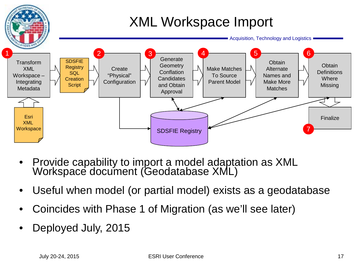

- Provide capability to import a model adaptation as XML Workspace document (Geodatabase XML)
- Useful when model (or partial model) exists as a geodatabase
- Coincides with Phase 1 of Migration (as we'll see later)
- Deployed July, 2015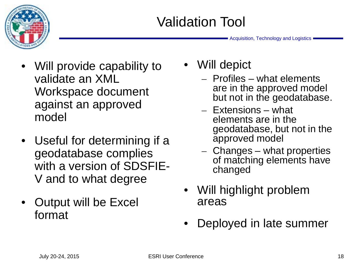

- Will provide capability to validate an XML Workspace document against an approved model
- Useful for determining if a geodatabase complies with a version of SDSFIE-V and to what degree
- Output will be Excel format

• Will depict

- Profiles what elements are in the approved model but not in the geodatabase.
- Extensions what elements are in the geodatabase, but not in the approved model
- Changes what properties of matching elements have changed
- Will highlight problem areas
- Deployed in late summer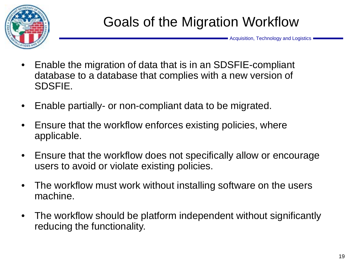

- Enable the migration of data that is in an SDSFIE-compliant database to a database that complies with a new version of SDSFIE.
- Enable partially- or non-compliant data to be migrated.
- Ensure that the workflow enforces existing policies, where applicable.
- Ensure that the workflow does not specifically allow or encourage users to avoid or violate existing policies.
- The workflow must work without installing software on the users machine.
- The workflow should be platform independent without significantly reducing the functionality.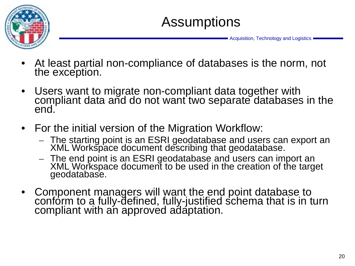

## Assumptions

- At least partial non-compliance of databases is the norm, not the exception.
- Users want to migrate non-compliant data together with compliant data and do not want two separate databases in the end.
- For the initial version of the Migration Workflow:
	- The starting point is an ESRI geodatabase and users can export an XML Workspace document describing that geodatabase.
	- The end point is an ESRI geodatabase and users can import an XML Workspace document to be used in the creation of the target geodatabase.
- Component managers will want the end point database to conform to a fully-defined, fully-justified schema that is in turn compliant with an approved adaptation.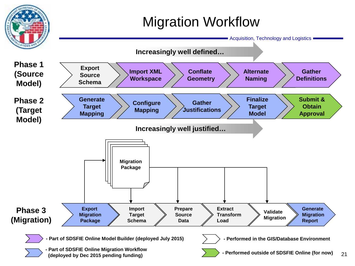# Migration Workflow

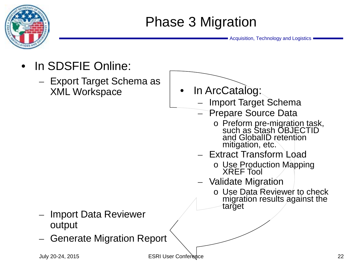

- In SDSFIE Online:
	- Export Target Schema as XML Workspace



- Import Target Schema
- Prepare Source Data
	- <sup>o</sup> Preform pre-migration task, such as Stash OBJECTID and GlobalID retention mitigation, etc.
- Extract Transform Load
	- o Use Production Mapping XREF Tool
- Validate Migration
	- o Use Data Reviewer to check migration results against the target
- Import Data Reviewer output
- Generate Migration Report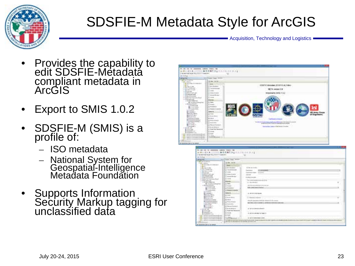

# SDSFIE-M Metadata Style for ArcGIS

- Provides the capability to edit SDSFIE-Metadata compliant metadata in ArcGIS
- Export to SMIS 1.0.2
- SDSFIE-M (SMIS) is a profile of:
	- ISO metadata
	- National System for Geospatial-Intelligence<br>Metadata Foundation
- Supports Information Security Markup tagging for unclassified data



| The rest from this aid field.<br><b>County Cold</b>                                                                                                                                                                                                                                                                                                                                                                                                                                                                                                                                                                                                                                                                                                                                                                                                                                                                                                                                                                                                                                                                                                                                                                                                                                                                                                    |                                                                                                                                                                                                                                                                                                                                                                                                                                                                                                                  |  |
|--------------------------------------------------------------------------------------------------------------------------------------------------------------------------------------------------------------------------------------------------------------------------------------------------------------------------------------------------------------------------------------------------------------------------------------------------------------------------------------------------------------------------------------------------------------------------------------------------------------------------------------------------------------------------------------------------------------------------------------------------------------------------------------------------------------------------------------------------------------------------------------------------------------------------------------------------------------------------------------------------------------------------------------------------------------------------------------------------------------------------------------------------------------------------------------------------------------------------------------------------------------------------------------------------------------------------------------------------------|------------------------------------------------------------------------------------------------------------------------------------------------------------------------------------------------------------------------------------------------------------------------------------------------------------------------------------------------------------------------------------------------------------------------------------------------------------------------------------------------------------------|--|
| <b>建筑空装机工业</b> 的工作中的 计子系<br>あほたに正らき<br>ITY Could Take Minist<br><b>MITAL FUEL</b><br>and who have a con-<br>294.476<br>in \$3 producers.<br>3 All at LAAS: II LANK 22-1<br><b>SERVICE</b><br><b>COMPANY</b><br>L.E. Jac. 1, Sat.<br>E.S. New Collections<br>1-31 Automake<br>Ex mattered<br>A 12-cars/incard<br>II is come-<br>A. Durante<br>115 MINUTES ARE<br><b>B.O. Federal Chronicles</b><br>$+1$ The process must<br>T telephone<br>4 19 Marchine an Alcoho<br>11-<br>of the stage flow for accounts of aged<br>A 12 Mount County<br><b>Subscribe</b><br><b>B</b> constructions of the<br>Lit lines.<br>a Moderal shear last<br>14 Health<br>L'étatement<br>a moral at<br><b>B</b> Countries<br>This can also kn<br>12 Hollywood Hard R.<br><b>SI-Allenton</b><br><b>Subscribe</b><br><b>BRANDMALL</b><br><b>Breviau Filling</b><br>14 meet-<br><b>Britishnik</b><br>A Box Box<br><b>Blackwood</b><br>FT BUREAU STORES<br>A recent<br><b>Birthdalene British</b><br>A REALEVALE<br>To New with the in-<br>L'American<br><b>Boother</b><br><b>Bisherman</b><br>1.0 Threat Endnet<br>The country of<br>Li Monte Molgover,<br>1 2 3 4<br>2 is form for faces and<br><b>Britannia</b><br>THAT HAT I ALL<br>11 Janet<br><b>Hardwidth Colum</b><br>E4-kasi<br>1. 22 1. 1947 full thanks in court and<br>Collection Struggle and London<br><b>COMMA</b> | at the technical<br>17/202010<br><b>Advertising</b><br><b>CONTRACTOR</b><br><b>CALIFORNIA</b><br>Turbley'swords<br>The comes newspaper as also and \$1000<br>to checke and<br>detecting increases were welcome.<br><b>STALL JUNE COMMON ROADS</b><br>2 19 3 100 St 20<br><b>Birdenia</b> Goldman<br>A is at the sign resolute interally all - all passes of a dis- property<br>8114114110011200112002110121002<br>St. Service Members Medal<br>Street the national controller to<br>\$1,000 to test modes to see |  |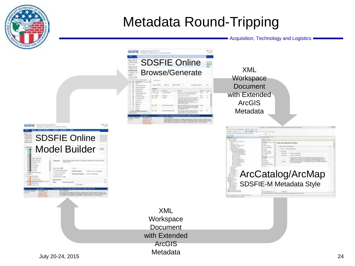

# Metadata Round-Tripping